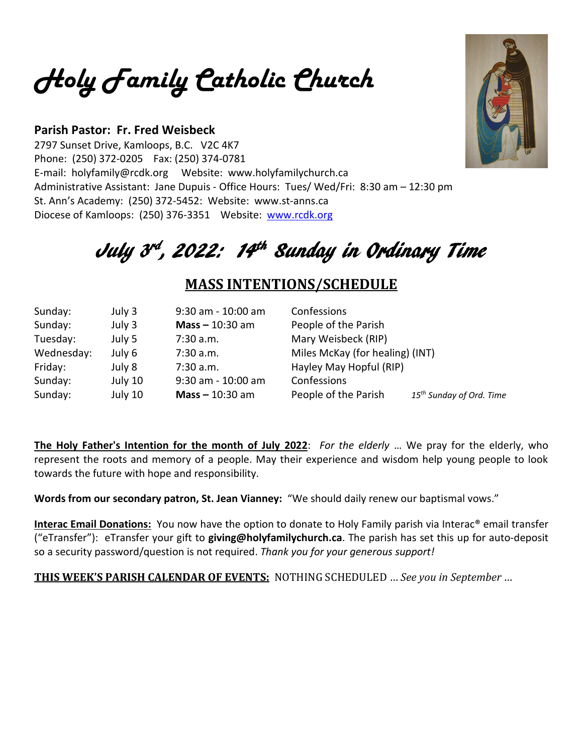*Holy Family Catholic Church*

### **Parish Pastor: Fr. Fred Weisbeck**

2797 Sunset Drive, Kamloops, B.C. V2C 4K7 Phone: (250) 372-0205 Fax: (250) 374-0781 E-mail: holyfamily@rcdk.org Website: www.holyfamilychurch.ca Administrative Assistant: Jane Dupuis - Office Hours: Tues/ Wed/Fri: 8:30 am – 12:30 pm St. Ann's Academy: (250) 372-5452: Website: www.st-anns.ca Diocese of Kamloops: (250) 376-3351 Website: [www.rcdk.org](http://www.rcdk.org/)

# July 3<sup>rd</sup>, 2022: 14<sup>th</sup> Sunday in Ordinary Time

## **MASS INTENTIONS/SCHEDULE**

| Sunday:    | July 3  | $9:30$ am - 10:00 am | Confessions                     |                                      |
|------------|---------|----------------------|---------------------------------|--------------------------------------|
| Sunday:    | July 3  | $Mass - 10:30$ am    | People of the Parish            |                                      |
| Tuesday:   | July 5  | 7:30 a.m.            | Mary Weisbeck (RIP)             |                                      |
| Wednesday: | July 6  | 7:30 a.m.            | Miles McKay (for healing) (INT) |                                      |
| Friday:    | July 8  | 7:30 a.m.            | Hayley May Hopful (RIP)         |                                      |
| Sunday:    | July 10 | $9:30$ am - 10:00 am | Confessions                     |                                      |
| Sunday:    | July 10 | Mass $-10:30$ am     | People of the Parish            | 15 <sup>th</sup> Sunday of Ord. Time |

**The Holy Father's Intention for the month of July 2022**: *For the elderly* … We pray for the elderly, who represent the roots and memory of a people. May their experience and wisdom help young people to look towards the future with hope and responsibility.

**Words from our secondary patron, St. Jean Vianney:** "We should daily renew our baptismal vows."

**Interac Email Donations:** You now have the option to donate to Holy Family parish via Interac® email transfer ("eTransfer"): eTransfer your gift to **giving@holyfamilychurch.ca**. The parish has set this up for auto-deposit so a security password/question is not required. *Thank you for your generous support!*

**THIS WEEK'S PARISH CALENDAR OF EVENTS:** NOTHING SCHEDULED … *See you in September* …

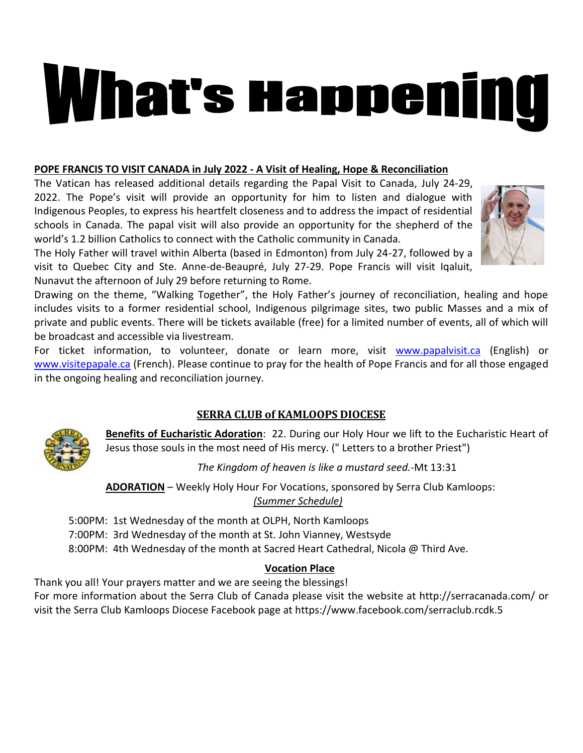# What's Happening

#### **POPE FRANCIS TO VISIT CANADA in July 2022 - A Visit of Healing, Hope & Reconciliation**

The Vatican has released additional details regarding the Papal Visit to Canada, July 24-29, 2022. The Pope's visit will provide an opportunity for him to listen and dialogue with Indigenous Peoples, to express his heartfelt closeness and to address the impact of residential schools in Canada. The papal visit will also provide an opportunity for the shepherd of the world's 1.2 billion Catholics to connect with the Catholic community in Canada.

The Holy Father will travel within Alberta (based in Edmonton) from July 24-27, followed by a visit to Quebec City and Ste. Anne-de-Beaupré, July 27-29. Pope Francis will visit Iqaluit, Nunavut the afternoon of July 29 before returning to Rome.

Drawing on the theme, "Walking Together", the Holy Father's journey of reconciliation, healing and hope includes visits to a former residential school, Indigenous pilgrimage sites, two public Masses and a mix of private and public events. There will be tickets available (free) for a limited number of events, all of which will be broadcast and accessible via livestream.

For ticket information, to volunteer, donate or learn more, visit [www.papalvisit.ca](http://www.papalvisit.ca/) (English) or [www.visitepapale.ca](http://www.visitepapale.ca/) (French). Please continue to pray for the health of Pope Francis and for all those engaged in the ongoing healing and reconciliation journey.

### **SERRA CLUB of KAMLOOPS DIOCESE**



**Benefits of Eucharistic Adoration**: 22. During our Holy Hour we lift to the Eucharistic Heart of Jesus those souls in the most need of His mercy. (" Letters to a brother Priest")

*The Kingdom of heaven is like a mustard seed.*-Mt 13:31

**ADORATION** – Weekly Holy Hour For Vocations, sponsored by Serra Club Kamloops: *(Summer Schedule)*

5:00PM: 1st Wednesday of the month at OLPH, North Kamloops

7:00PM: 3rd Wednesday of the month at St. John Vianney, Westsyde

8:00PM: 4th Wednesday of the month at Sacred Heart Cathedral, Nicola @ Third Ave.

### **Vocation Place**

Thank you all! Your prayers matter and we are seeing the blessings!

For more information about the Serra Club of Canada please visit the website at<http://serracanada.com/> or visit the Serra Club Kamloops Diocese Facebook page at<https://www.facebook.com/serraclub.rcdk.5>